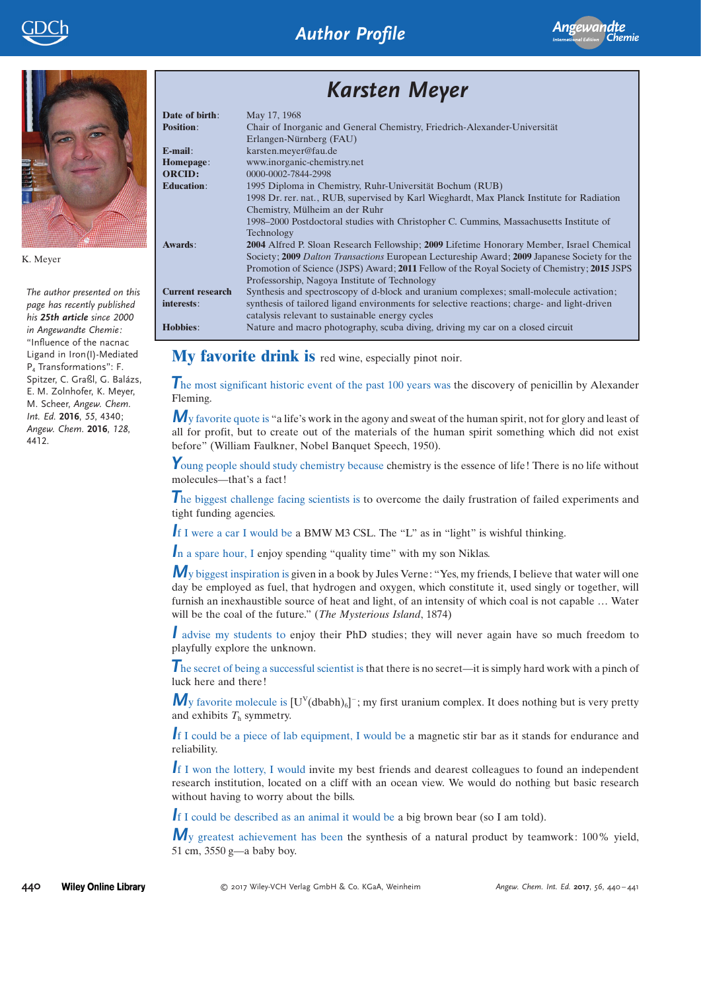*Angewandte* Author Profile *Chemie*





K. Meyer

The author presented on this page has recently published his 25th article since 2000 in Angewandte Chemie: "Influence of the nacnac Ligand in Iron(I)-Mediated P<sup>4</sup> Transformations": F. Spitzer, C. Graßl, G. Balázs, E. M. Zolnhofer, K. Meyer, M. Scheer, [Angew. Chem.](http://dx.doi.org/10.1002/anie.201510716) Int. Ed. 2016, 55[, 4340](http://dx.doi.org/10.1002/anie.201510716); [Angew. Chem.](http://dx.doi.org/10.1002/ange.201510716) 2016, 128, [4412.](http://dx.doi.org/10.1002/ange.201510716)

#### Karsten Meyer **Date of birth:** May 17, 1968<br>**Position:** Chair of Inor Chair of Inorganic and General Chemistry, Friedrich-Alexander-Universität Erlangen-Nürnberg (FAU) E-mail: karsten.meyer@fau.de<br>Homepage: www.inorganic-chemis Homepage: www.inorganic-chemistry.net<br>ORCID:  $0000-0002-7844-2998$ **ORCID:** 0000-0002-7844-2998<br> **Education:** 1995 Diploma in Che 1995 Diploma in Chemistry, Ruhr-Universität Bochum (RUB) 1998 Dr. rer. nat., RUB, supervised by Karl Wieghardt, Max Planck Institute for Radiation Chemistry, Mülheim an der Ruhr 1998–2000 Postdoctoral studies with Christopher C. Cummins, Massachusetts Institute of Technology Awards: 2004 Alfred P. Sloan Research Fellowship; 2009 Lifetime Honorary Member, Israel Chemical Society; 2009 Dalton Transactions European Lectureship Award; 2009 Japanese Society for the Promotion of Science (JSPS) Award; 2011 Fellow of the Royal Society of Chemistry; 2015 JSPS Professorship, Nagoya Institute of Technology Current research interests: Synthesis and spectroscopy of d-block and uranium complexes; small-molecule activation; synthesis of tailored ligand environments for selective reactions; charge- and light-driven catalysis relevant to sustainable energy cycles Hobbies: Nature and macro photography, scuba diving, driving my car on a closed circuit

# My favorite drink is red wine, especially pinot noir.

The most significant historic event of the past 100 years was the discovery of penicillin by Alexander Fleming.

 $M_{\rm V}$  favorite quote is "a life's work in the agony and sweat of the human spirit, not for glory and least of all for profit, but to create out of the materials of the human spirit something which did not exist before" (William Faulkner, Nobel Banquet Speech, 1950).

Young people should study chemistry because chemistry is the essence of life! There is no life without molecules—that's a fact!

The biggest challenge facing scientists is to overcome the daily frustration of failed experiments and tight funding agencies.

If I were a car I would be a BMW M3 CSL. The "L" as in "light" is wishful thinking.

In a spare hour, I enjoy spending "quality time" with my son Niklas.

 $M<sub>y</sub>$  biggest inspiration is given in a book by Jules Verne: "Yes, my friends, I believe that water will one day be employed as fuel, that hydrogen and oxygen, which constitute it, used singly or together, will furnish an inexhaustible source of heat and light, of an intensity of which coal is not capable … Water will be the coal of the future." (*The Mysterious Island*, 1874)

I advise my students to enjoy their PhD studies; they will never again have so much freedom to playfully explore the unknown.

The secret of being a successful scientist is that there is no secret—it is simply hard work with a pinch of luck here and there!

 $M_y$  favorite molecule is  $[U^{\vee}$ (dbabh)<sub>6</sub>]<sup>-</sup>; my first uranium complex. It does nothing but is very pretty and exhibits  $T<sub>h</sub>$  symmetry.

If I could be a piece of lab equipment, I would be a magnetic stir bar as it stands for endurance and reliability.

If I won the lottery, I would invite my best friends and dearest colleagues to found an independent research institution, located on a cliff with an ocean view. We would do nothing but basic research without having to worry about the bills.

If I could be described as an animal it would be a big brown bear (so I am told).

 $M_y$  greatest achievement has been the synthesis of a natural product by teamwork: 100% yield, 51 cm, 3550 g—a baby boy.